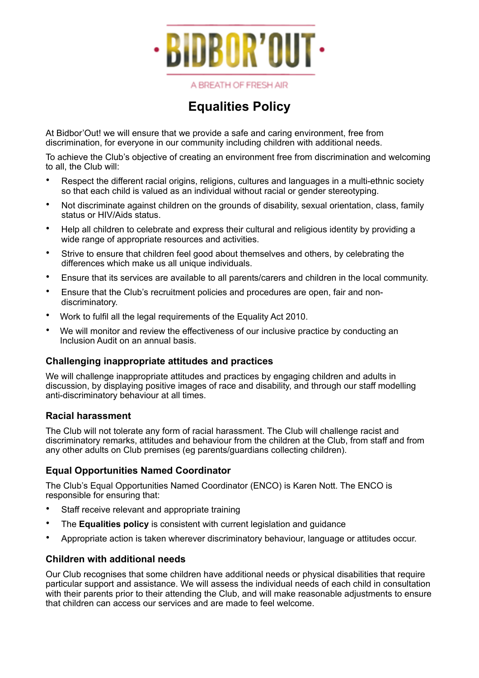

|  |  | A BREATH OF FRESH AIR |  |
|--|--|-----------------------|--|
|  |  |                       |  |

# **Equalities Policy**

At Bidbor'Out! we will ensure that we provide a safe and caring environment, free from discrimination, for everyone in our community including children with additional needs.

To achieve the Club's objective of creating an environment free from discrimination and welcoming to all, the Club will:

- Respect the different racial origins, religions, cultures and languages in a multi-ethnic society so that each child is valued as an individual without racial or gender stereotyping.
- Not discriminate against children on the grounds of disability, sexual orientation, class, family status or HIV/Aids status.
- Help all children to celebrate and express their cultural and religious identity by providing a wide range of appropriate resources and activities.
- Strive to ensure that children feel good about themselves and others, by celebrating the differences which make us all unique individuals.
- Ensure that its services are available to all parents/carers and children in the local community.
- Ensure that the Club's recruitment policies and procedures are open, fair and nondiscriminatory.
- Work to fulfil all the legal requirements of the Equality Act 2010.
- We will monitor and review the effectiveness of our inclusive practice by conducting an Inclusion Audit on an annual basis.

### **Challenging inappropriate attitudes and practices**

We will challenge inappropriate attitudes and practices by engaging children and adults in discussion, by displaying positive images of race and disability, and through our staff modelling anti-discriminatory behaviour at all times.

#### **Racial harassment**

The Club will not tolerate any form of racial harassment. The Club will challenge racist and discriminatory remarks, attitudes and behaviour from the children at the Club, from staff and from any other adults on Club premises (eg parents/guardians collecting children).

### **Equal Opportunities Named Coordinator**

The Club's Equal Opportunities Named Coordinator (ENCO) is Karen Nott. The ENCO is responsible for ensuring that:

- Staff receive relevant and appropriate training
- The **Equalities policy** is consistent with current legislation and guidance
- Appropriate action is taken wherever discriminatory behaviour, language or attitudes occur.

### **Children with additional needs**

Our Club recognises that some children have additional needs or physical disabilities that require particular support and assistance. We will assess the individual needs of each child in consultation with their parents prior to their attending the Club, and will make reasonable adjustments to ensure that children can access our services and are made to feel welcome.